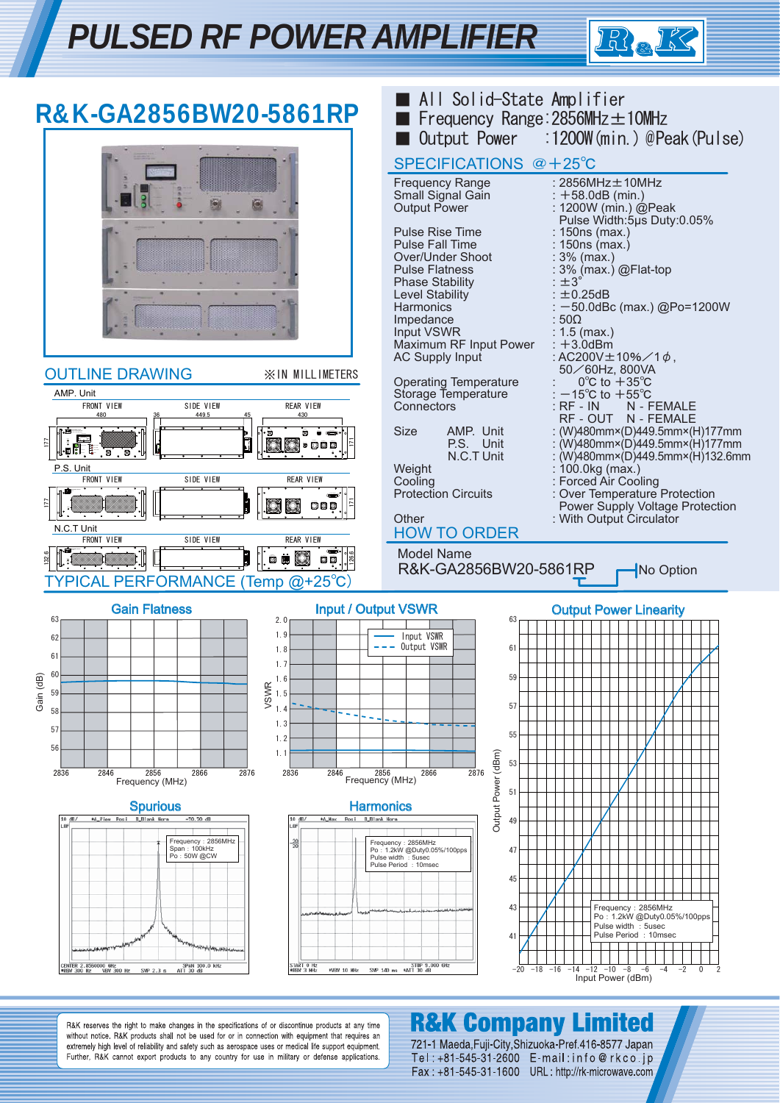



R&K reserves the right to make changes in the specifications of or discontinue products at any time without notice. R&K products shall not be used for or in connection with equipment that requires an extremely high level of reliability and safety such as aerospace uses or medical life support equipment. Further, R&K cannot export products to any country for use in military or defense applications.

## **R&K Company Limited**

721-1 Maeda, Fuji-City, Shizuoka-Pref. 416-8577 Japan Tel: +81-545-31-2600 E-mail: info@rkco.ip Fax: +81-545-31-1600 URL: http://rk-microwave.com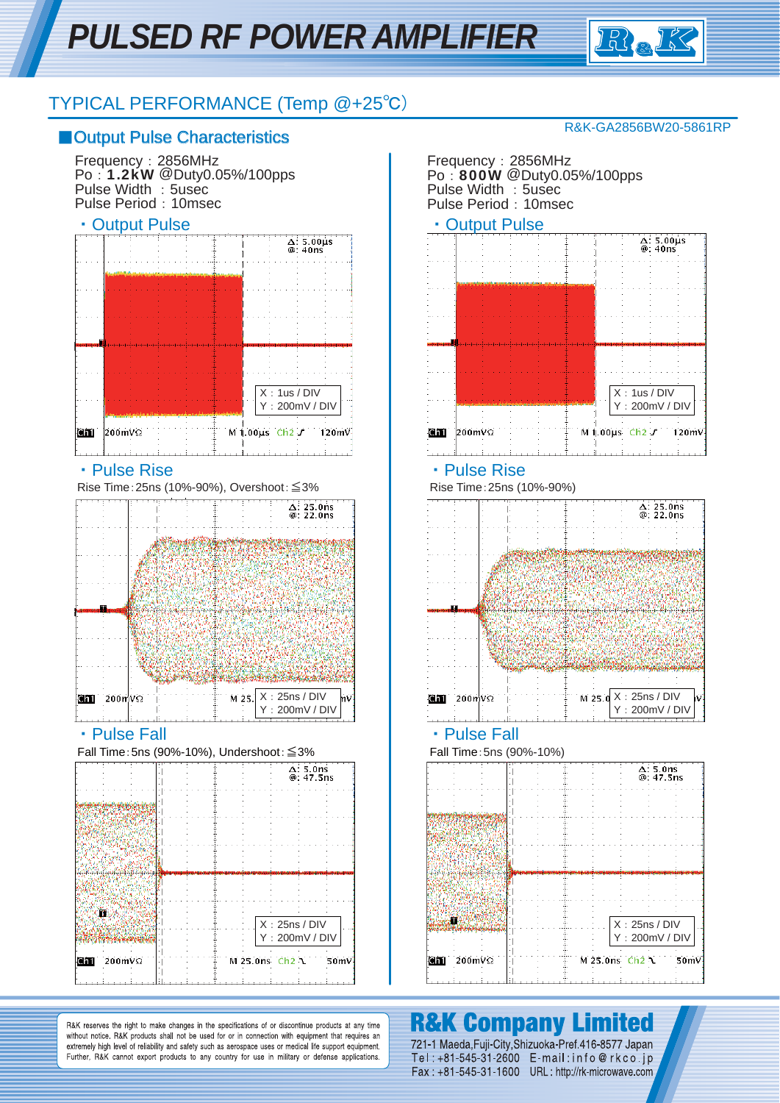

### TYPICAL PERFORMANCE (Temp @+25℃)

### ■ Output Pulse Characteristics

Frequency:2856MHz Po:1.2kW @Duty0.05%/100pps Pulse Width : 5usec Pulse Period: 10msec



Rise Time:25ns (10%-90%), Overshoot:≦3%



Fall Time:5ns (90%-10%), Undershoot:≦3% Fall Time:5ns (90%-10%)

|                   | $\Delta: 5.0$ ns<br>@: 47.5ns   |
|-------------------|---------------------------------|
|                   |                                 |
|                   |                                 |
|                   |                                 |
|                   |                                 |
|                   |                                 |
|                   | X: 25ns / DIV<br>Y: 200mV / DIV |
| <b>Ghi</b> 200mVΩ | M 25.0ns Ch2<br>50mV            |
|                   |                                 |

### R&K-GA2856BW20-5861RP

Frequency:2856MHz Po: 800W @Duty0.05%/100pps Pulse Width : 5usec Pulse Period: 10msec

### • Output Pulse **Containers 1 Containers 1 Containers 1 Containers 1 Containers**



### • Pulse Rise インター・トラック トラック トラック トラック Pulse Rise

Rise Time:25ns (10%-90%)



### • Pulse Fall **Contract Contract Fall Contract Pulse Fall • Pulse Fall**



R&K reserves the right to make changes in the specifications of or discontinue products at any time without notice. R&K products shall not be used for or in connection with equipment that requires an extremely high level of reliability and safety such as aerospace uses or medical life support equipment. Further, R&K cannot export products to any country for use in military or defense applications.

# **R&K Company Limited**

721-1 Maeda, Fuji-City, Shizuoka-Pref. 416-8577 Japan Tel: +81-545-31-2600 E-mail: info@rkco.jp Fax: +81-545-31-1600 URL: http://rk-microwave.com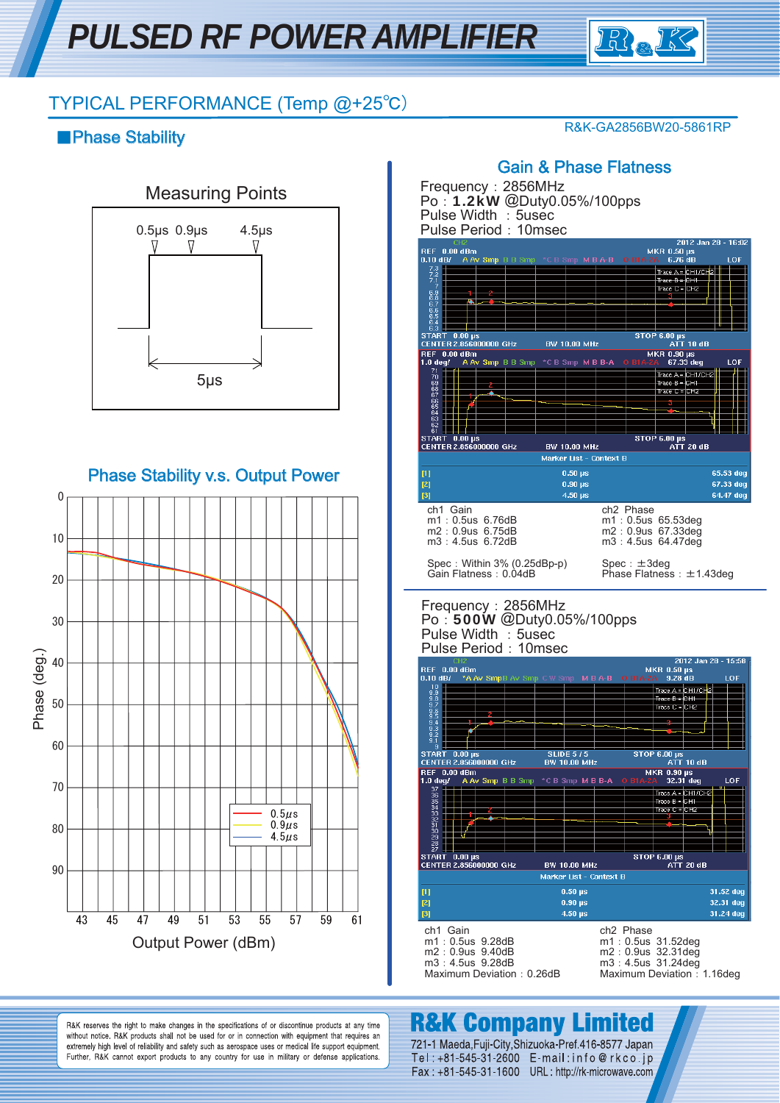

R&K-GA2856BW20-5861RP

### TYPICAL PERFORMANCE (Temp @+25℃)

### ■Phase Stability



Phase Stability v.s. Output Power



### Gain & Phase Flatness

Frequency:2856MHz Po:1.2kW @Duty0.05%/100pps Pulse Width: 5usec Pulse Period: 10msec



### Frequency:2856MHz Po:500W @Duty0.05%/100pps Pulse Width : 5usec Pulse Period: 10msec



## **R&K Company Limited**

R&K reserves the right to make changes in the specifications of or discontinue products at any time without notice. R&K products shall not be used for or in connection with equipment that requires an extremely high level of reliability and safety such as aerospace uses or medical life support equipment. Further, R&K cannot export products to any country for use in military or defense applications.

721-1 Maeda, Fuji-City, Shizuoka-Pref. 416-8577 Japan Tel: +81-545-31-2600 E-mail: info@rkco.jp Fax: +81-545-31-1600 URL: http://rk-microwave.com